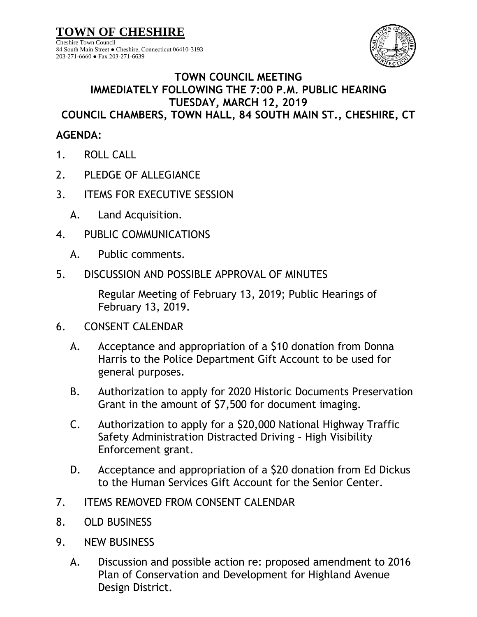**TOWN OF CHESHIRE**

Cheshire Town Council 84 South Main Street ● Cheshire, Connecticut 06410-3193 203-271-6660 ● Fax 203-271-6639



## **TOWN COUNCIL MEETING IMMEDIATELY FOLLOWING THE 7:00 P.M. PUBLIC HEARING TUESDAY, MARCH 12, 2019 COUNCIL CHAMBERS, TOWN HALL, 84 SOUTH MAIN ST., CHESHIRE, CT**

## **AGENDA:**

- 1. ROLL CALL
- 2. PLEDGE OF ALLEGIANCE
- 3. ITEMS FOR EXECUTIVE SESSION
	- A. Land Acquisition.
- 4. PUBLIC COMMUNICATIONS
	- A. Public comments.
- 5. DISCUSSION AND POSSIBLE APPROVAL OF MINUTES

Regular Meeting of February 13, 2019; Public Hearings of February 13, 2019.

- 6. CONSENT CALENDAR
	- A. Acceptance and appropriation of a \$10 donation from Donna Harris to the Police Department Gift Account to be used for general purposes.
	- B. Authorization to apply for 2020 Historic Documents Preservation Grant in the amount of \$7,500 for document imaging.
	- C. Authorization to apply for a \$20,000 National Highway Traffic Safety Administration Distracted Driving – High Visibility Enforcement grant.
	- D. Acceptance and appropriation of a \$20 donation from Ed Dickus to the Human Services Gift Account for the Senior Center.
- 7. ITEMS REMOVED FROM CONSENT CALENDAR
- 8. OLD BUSINESS
- 9. NEW BUSINESS
	- A. Discussion and possible action re: proposed amendment to 2016 Plan of Conservation and Development for Highland Avenue Design District.